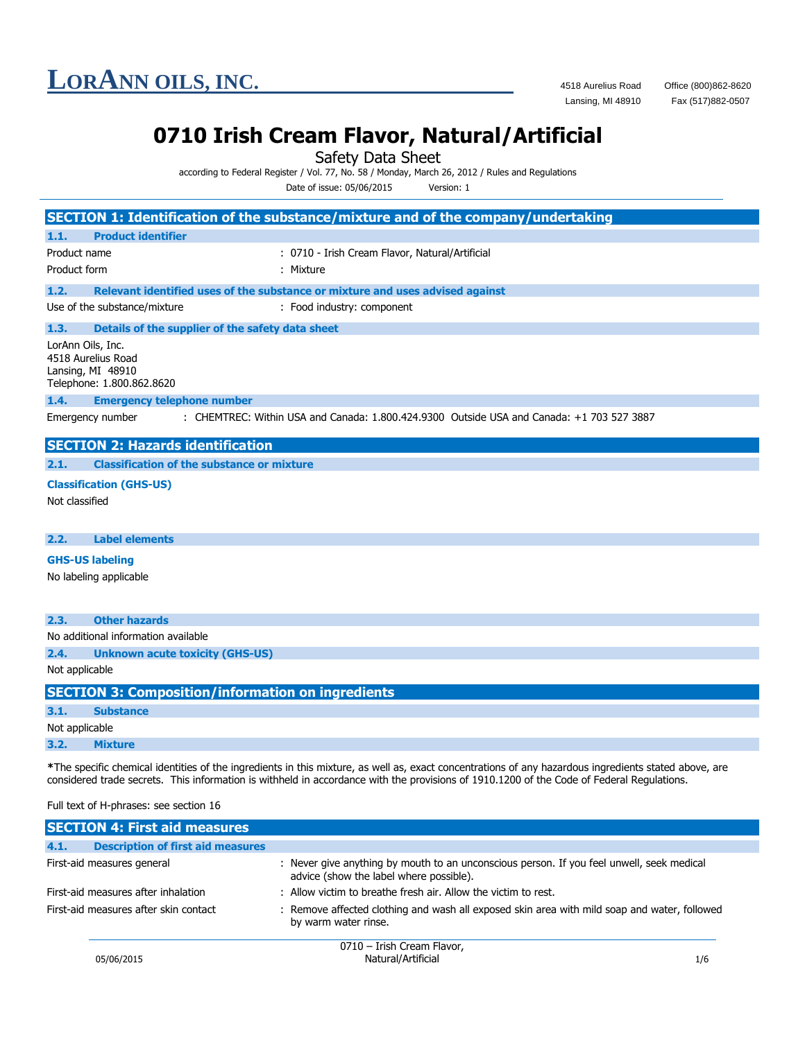

Fax (517)882-0507

### **0710 Irish Cream Flavor, Natural/Artificial**

Safety Data Sheet

according to Federal Register / Vol. 77, No. 58 / Monday, March 26, 2012 / Rules and Regulations

Date of issue: 05/06/2015 Version: 1

|                                                                                           | SECTION 1: Identification of the substance/mixture and of the company/undertaking                                                                                                                                                                                                                  |
|-------------------------------------------------------------------------------------------|----------------------------------------------------------------------------------------------------------------------------------------------------------------------------------------------------------------------------------------------------------------------------------------------------|
| <b>Product identifier</b><br>1.1.                                                         |                                                                                                                                                                                                                                                                                                    |
| Product name                                                                              | : 0710 - Irish Cream Flavor, Natural/Artificial                                                                                                                                                                                                                                                    |
| Product form                                                                              | : Mixture                                                                                                                                                                                                                                                                                          |
| 1.2.                                                                                      | Relevant identified uses of the substance or mixture and uses advised against                                                                                                                                                                                                                      |
| Use of the substance/mixture                                                              | : Food industry: component                                                                                                                                                                                                                                                                         |
| 1.3.<br>Details of the supplier of the safety data sheet                                  |                                                                                                                                                                                                                                                                                                    |
| LorAnn Oils, Inc.<br>4518 Aurelius Road<br>Lansing, MI 48910<br>Telephone: 1.800.862.8620 |                                                                                                                                                                                                                                                                                                    |
| 1.4.<br><b>Emergency telephone number</b>                                                 |                                                                                                                                                                                                                                                                                                    |
| Emergency number                                                                          | : CHEMTREC: Within USA and Canada: 1.800.424.9300 Outside USA and Canada: +1 703 527 3887                                                                                                                                                                                                          |
| <b>SECTION 2: Hazards identification</b>                                                  |                                                                                                                                                                                                                                                                                                    |
| 2.1.<br><b>Classification of the substance or mixture</b>                                 |                                                                                                                                                                                                                                                                                                    |
| <b>Classification (GHS-US)</b>                                                            |                                                                                                                                                                                                                                                                                                    |
| Not classified                                                                            |                                                                                                                                                                                                                                                                                                    |
|                                                                                           |                                                                                                                                                                                                                                                                                                    |
| 2.2.<br><b>Label elements</b>                                                             |                                                                                                                                                                                                                                                                                                    |
| <b>GHS-US labeling</b>                                                                    |                                                                                                                                                                                                                                                                                                    |
| No labeling applicable                                                                    |                                                                                                                                                                                                                                                                                                    |
|                                                                                           |                                                                                                                                                                                                                                                                                                    |
| 2.3.<br><b>Other hazards</b>                                                              |                                                                                                                                                                                                                                                                                                    |
| No additional information available                                                       |                                                                                                                                                                                                                                                                                                    |
| 2.4.<br><b>Unknown acute toxicity (GHS-US)</b>                                            |                                                                                                                                                                                                                                                                                                    |
| Not applicable                                                                            |                                                                                                                                                                                                                                                                                                    |
| <b>SECTION 3: Composition/information on ingredients</b>                                  |                                                                                                                                                                                                                                                                                                    |
| 3.1.<br><b>Substance</b>                                                                  |                                                                                                                                                                                                                                                                                                    |
| Not applicable                                                                            |                                                                                                                                                                                                                                                                                                    |
| 3.2.<br><b>Mixture</b>                                                                    |                                                                                                                                                                                                                                                                                                    |
| Full text of H-phrases: see section 16                                                    | *The specific chemical identities of the ingredients in this mixture, as well as, exact concentrations of any hazardous ingredients stated above, are<br>considered trade secrets. This information is withheld in accordance with the provisions of 1910.1200 of the Code of Federal Regulations. |

| <b>SECTION 4: First aid measures</b>             |                                                                                                                                      |
|--------------------------------------------------|--------------------------------------------------------------------------------------------------------------------------------------|
| <b>Description of first aid measures</b><br>4.1. |                                                                                                                                      |
| First-aid measures general                       | : Never give anything by mouth to an unconscious person. If you feel unwell, seek medical<br>advice (show the label where possible). |
| First-aid measures after inhalation              | : Allow victim to breathe fresh air. Allow the victim to rest.                                                                       |
| First-aid measures after skin contact            | : Remove affected clothing and wash all exposed skin area with mild soap and water, followed<br>by warm water rinse.                 |
|                                                  | 0710 Trich Croom Elavor                                                                                                              |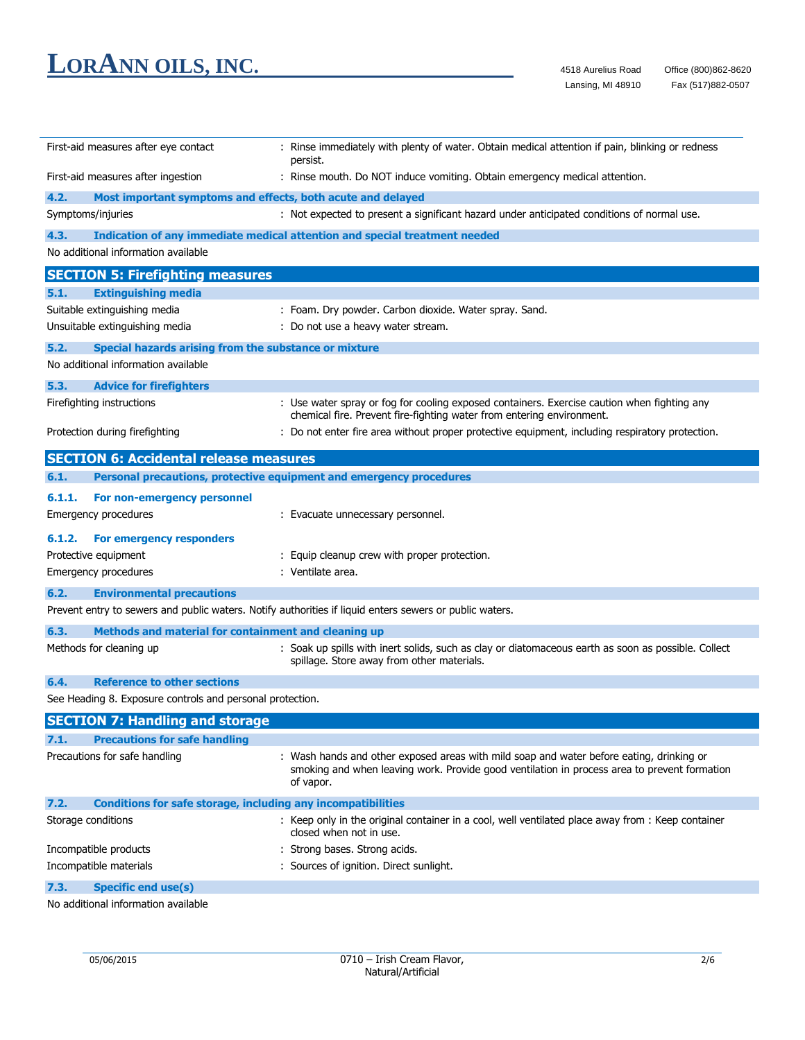| First-aid measures after eye contact                                        | : Rinse immediately with plenty of water. Obtain medical attention if pain, blinking or redness<br>persist.                                     |
|-----------------------------------------------------------------------------|-------------------------------------------------------------------------------------------------------------------------------------------------|
| First-aid measures after ingestion                                          | : Rinse mouth. Do NOT induce vomiting. Obtain emergency medical attention.                                                                      |
| 4.2.                                                                        | Most important symptoms and effects, both acute and delayed                                                                                     |
| Symptoms/injuries                                                           | : Not expected to present a significant hazard under anticipated conditions of normal use.                                                      |
| 4.3.                                                                        | Indication of any immediate medical attention and special treatment needed                                                                      |
| No additional information available                                         |                                                                                                                                                 |
| <b>SECTION 5: Firefighting measures</b>                                     |                                                                                                                                                 |
| 5.1.<br><b>Extinguishing media</b>                                          |                                                                                                                                                 |
| Suitable extinguishing media                                                | : Foam. Dry powder. Carbon dioxide. Water spray. Sand.                                                                                          |
| Unsuitable extinguishing media                                              | : Do not use a heavy water stream.                                                                                                              |
| Special hazards arising from the substance or mixture<br>5.2.               |                                                                                                                                                 |
| No additional information available                                         |                                                                                                                                                 |
| 5.3.<br><b>Advice for firefighters</b>                                      |                                                                                                                                                 |
| Firefighting instructions                                                   | : Use water spray or fog for cooling exposed containers. Exercise caution when fighting any                                                     |
|                                                                             | chemical fire. Prevent fire-fighting water from entering environment.                                                                           |
| Protection during firefighting                                              | : Do not enter fire area without proper protective equipment, including respiratory protection.                                                 |
|                                                                             |                                                                                                                                                 |
| <b>SECTION 6: Accidental release measures</b>                               |                                                                                                                                                 |
| 6.1.                                                                        | Personal precautions, protective equipment and emergency procedures                                                                             |
| 6.1.1.<br>For non-emergency personnel                                       |                                                                                                                                                 |
| Emergency procedures                                                        | : Evacuate unnecessary personnel.                                                                                                               |
| 6.1.2.<br>For emergency responders                                          |                                                                                                                                                 |
| Protective equipment                                                        | : Equip cleanup crew with proper protection.                                                                                                    |
| Emergency procedures                                                        | : Ventilate area.                                                                                                                               |
| 6.2.<br><b>Environmental precautions</b>                                    |                                                                                                                                                 |
|                                                                             | Prevent entry to sewers and public waters. Notify authorities if liquid enters sewers or public waters.                                         |
|                                                                             |                                                                                                                                                 |
| 6.3.<br>Methods and material for containment and cleaning up                |                                                                                                                                                 |
| Methods for cleaning up                                                     | Soak up spills with inert solids, such as clay or diatomaceous earth as soon as possible. Collect<br>spillage. Store away from other materials. |
| 6.4.<br><b>Reference to other sections</b>                                  |                                                                                                                                                 |
| See Heading 8. Exposure controls and personal protection.                   |                                                                                                                                                 |
| <b>SECTION 7: Handling and storage</b>                                      |                                                                                                                                                 |
| 7.1.<br><b>Precautions for safe handling</b>                                |                                                                                                                                                 |
| Precautions for safe handling                                               | : Wash hands and other exposed areas with mild soap and water before eating, drinking or                                                        |
|                                                                             | smoking and when leaving work. Provide good ventilation in process area to prevent formation<br>of vapor.                                       |
| 7.2.<br><b>Conditions for safe storage, including any incompatibilities</b> |                                                                                                                                                 |
| Storage conditions                                                          | : Keep only in the original container in a cool, well ventilated place away from : Keep container<br>closed when not in use.                    |
| Incompatible products                                                       | : Strong bases. Strong acids.                                                                                                                   |
| Incompatible materials                                                      | : Sources of ignition. Direct sunlight.                                                                                                         |
| 7.3.<br><b>Specific end use(s)</b>                                          |                                                                                                                                                 |
| No additional information available                                         |                                                                                                                                                 |
|                                                                             |                                                                                                                                                 |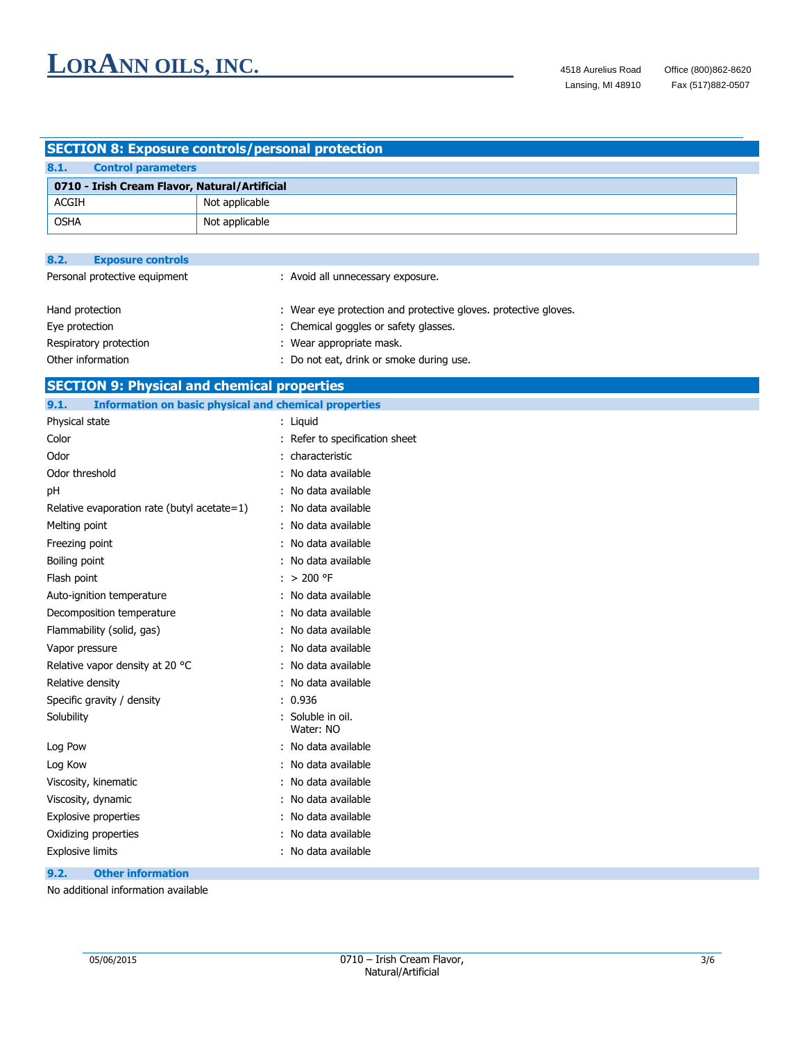### **SECTION 8: Exposure controls/personal protection**

| 8.1.  | <b>Control parameters</b>                     |                |
|-------|-----------------------------------------------|----------------|
|       | 0710 - Irish Cream Flavor, Natural/Artificial |                |
| ACGIH |                                               | Not applicable |
| OSHA  |                                               | Not applicable |

| 8.2.              | <b>Exposure controls</b>      |                                                                 |
|-------------------|-------------------------------|-----------------------------------------------------------------|
|                   | Personal protective equipment | : Avoid all unnecessary exposure.                               |
| Hand protection   |                               | : Wear eye protection and protective gloves. protective gloves. |
| Eye protection    |                               | : Chemical goggles or safety glasses.                           |
|                   | Respiratory protection        | : Wear appropriate mask.                                        |
| Other information |                               | : Do not eat, drink or smoke during use.                        |

### **SECTION 9: Physical and chemical properties**

| 9.1.<br><b>Information on basic physical and chemical properties</b> |                                |
|----------------------------------------------------------------------|--------------------------------|
| Physical state                                                       | : Liquid                       |
| Color                                                                | : Refer to specification sheet |
| Odor                                                                 | : characteristic               |
| Odor threshold                                                       | : No data available            |
| pH                                                                   | : No data available            |
| Relative evaporation rate (butyl acetate=1)                          | : No data available            |
| Melting point                                                        | : No data available            |
| Freezing point                                                       | : No data available            |
| Boiling point                                                        | : No data available            |
| Flash point                                                          | $: > 200$ °F                   |
| Auto-ignition temperature                                            | : No data available            |
| Decomposition temperature                                            | : No data available            |
| Flammability (solid, gas)                                            | : No data available            |
| Vapor pressure                                                       | : No data available            |
| Relative vapor density at 20 °C                                      | : No data available            |
| Relative density                                                     | : No data available            |
| Specific gravity / density                                           | : 0.936                        |
| Solubility                                                           | : Soluble in oil.<br>Water: NO |
| Log Pow                                                              | : No data available            |
| Log Kow                                                              | : No data available            |
| Viscosity, kinematic                                                 | : No data available            |
| Viscosity, dynamic                                                   | : No data available            |
| <b>Explosive properties</b>                                          | : No data available            |
| Oxidizing properties                                                 | : No data available            |
| <b>Explosive limits</b>                                              | : No data available            |
| 9.2.<br><b>Other information</b>                                     |                                |

No additional information available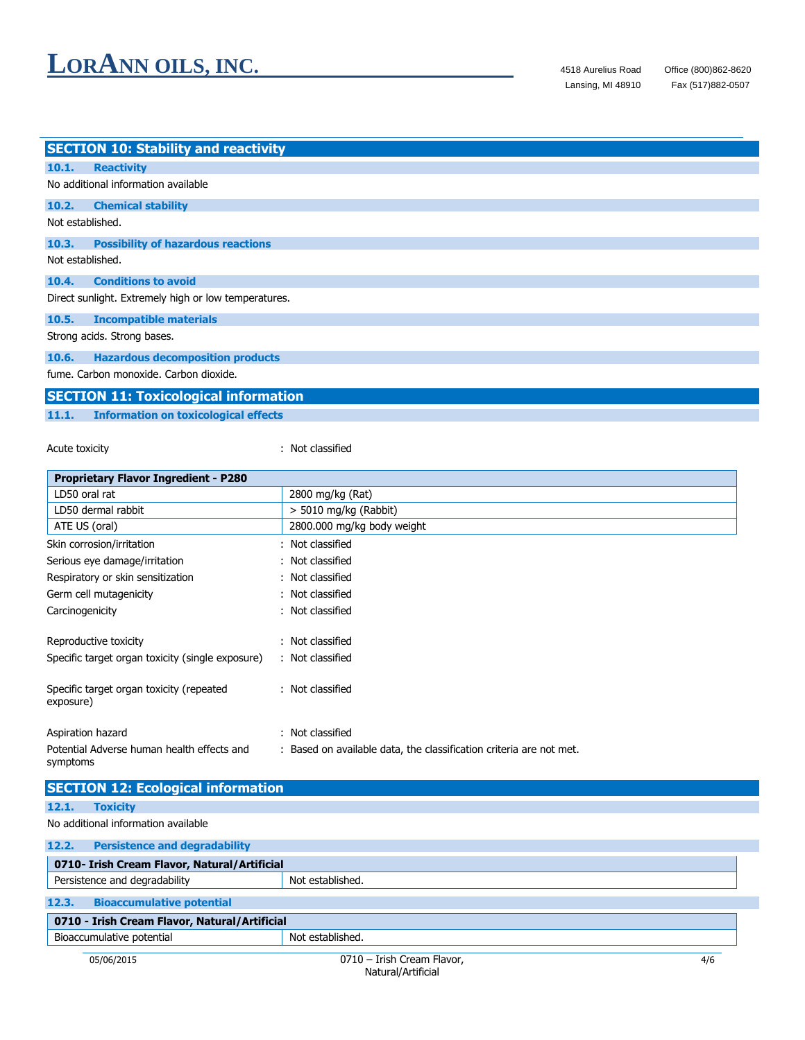Fax (517)882-0507

| <b>SECTION 10: Stability and reactivity</b>          |  |  |  |
|------------------------------------------------------|--|--|--|
| <b>Reactivity</b><br>10.1.                           |  |  |  |
| No additional information available                  |  |  |  |
| 10.2.<br><b>Chemical stability</b>                   |  |  |  |
| Not established.                                     |  |  |  |
| <b>Possibility of hazardous reactions</b><br>10.3.   |  |  |  |
| Not established.                                     |  |  |  |
| <b>Conditions to avoid</b><br>10.4.                  |  |  |  |
| Direct sunlight. Extremely high or low temperatures. |  |  |  |
| <b>Incompatible materials</b><br>10.5.               |  |  |  |
| Strong acids. Strong bases.                          |  |  |  |
| <b>Hazardous decomposition products</b><br>10.6.     |  |  |  |
| fume. Carbon monoxide. Carbon dioxide.               |  |  |  |
| <b>SECTION 11: Toxicological information</b>         |  |  |  |

#### **11.1. Information on toxicological effects**

Acute toxicity **in the case of the contract of the contract of the contract of the contract of the contract of the contract of the contract of the contract of the contract of the contract of the contract of the contract of** 

| <b>Proprietary Flavor Ingredient - P280</b>            |                                                                     |  |
|--------------------------------------------------------|---------------------------------------------------------------------|--|
| LD50 oral rat                                          | 2800 mg/kg (Rat)                                                    |  |
| LD50 dermal rabbit                                     | > 5010 mg/kg (Rabbit)                                               |  |
| ATE US (oral)                                          | 2800.000 mg/kg body weight                                          |  |
| Skin corrosion/irritation                              | : Not classified                                                    |  |
| Serious eye damage/irritation                          | : Not classified                                                    |  |
| Respiratory or skin sensitization                      | : Not classified                                                    |  |
| Germ cell mutagenicity                                 | : Not classified                                                    |  |
| Carcinogenicity                                        | : Not classified                                                    |  |
| Reproductive toxicity                                  | : Not classified                                                    |  |
| Specific target organ toxicity (single exposure)       | : Not classified                                                    |  |
| Specific target organ toxicity (repeated<br>exposure)  | : Not classified                                                    |  |
| Aspiration hazard                                      | : Not classified                                                    |  |
| Potential Adverse human health effects and<br>symptoms | : Based on available data, the classification criteria are not met. |  |
| <b>SECTION 12: Ecological information</b>              |                                                                     |  |
| 12.1.<br><b>Toxicity</b>                               |                                                                     |  |
| No additional information available                    |                                                                     |  |
| 12.2.<br><b>Persistence and degradability</b>          |                                                                     |  |
| 0710- Irish Cream Flavor, Natural/Artificial           |                                                                     |  |
| Persistence and degradability                          | Not established.                                                    |  |
| 12.3.<br><b>Bioaccumulative potential</b>              |                                                                     |  |
| 0710 - Irish Cream Flavor, Natural/Artificial          |                                                                     |  |
| Bioaccumulative potential                              | Not established.                                                    |  |
| 05/06/2015                                             | 0710 - Irish Cream Flavor.<br>4/6                                   |  |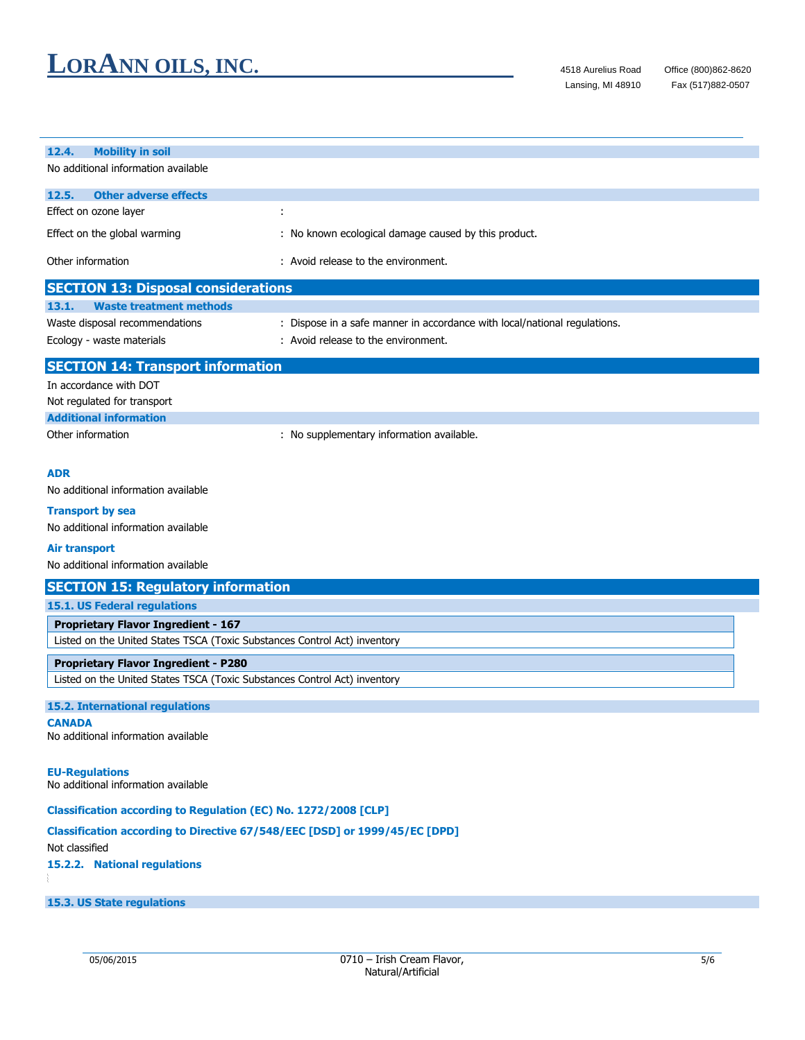| <b>Mobility in soil</b><br>12.4.<br>No additional information available    |                                                                           |  |
|----------------------------------------------------------------------------|---------------------------------------------------------------------------|--|
|                                                                            |                                                                           |  |
| 12.5.<br><b>Other adverse effects</b>                                      |                                                                           |  |
| Effect on ozone layer                                                      | ÷                                                                         |  |
| Effect on the global warming                                               | : No known ecological damage caused by this product.                      |  |
| Other information                                                          | : Avoid release to the environment.                                       |  |
| <b>SECTION 13: Disposal considerations</b>                                 |                                                                           |  |
| <b>Waste treatment methods</b><br>13.1.                                    |                                                                           |  |
| Waste disposal recommendations                                             | : Dispose in a safe manner in accordance with local/national regulations. |  |
| Ecology - waste materials                                                  | : Avoid release to the environment.                                       |  |
| <b>SECTION 14: Transport information</b>                                   |                                                                           |  |
| In accordance with DOT                                                     |                                                                           |  |
| Not regulated for transport                                                |                                                                           |  |
| <b>Additional information</b>                                              |                                                                           |  |
| Other information                                                          | : No supplementary information available.                                 |  |
|                                                                            |                                                                           |  |
| <b>ADR</b>                                                                 |                                                                           |  |
| No additional information available                                        |                                                                           |  |
| <b>Transport by sea</b>                                                    |                                                                           |  |
| No additional information available                                        |                                                                           |  |
| <b>Air transport</b>                                                       |                                                                           |  |
| No additional information available                                        |                                                                           |  |
| <b>SECTION 15: Regulatory information</b>                                  |                                                                           |  |
| 15.1. US Federal regulations                                               |                                                                           |  |
| <b>Proprietary Flavor Ingredient - 167</b>                                 |                                                                           |  |
| Listed on the United States TSCA (Toxic Substances Control Act) inventory  |                                                                           |  |
| <b>Proprietary Flavor Ingredient - P280</b>                                |                                                                           |  |
| Listed on the United States TSCA (Toxic Substances Control Act) inventory  |                                                                           |  |
| <b>15.2. International regulations</b>                                     |                                                                           |  |
| <b>CANADA</b>                                                              |                                                                           |  |
| No additional information available                                        |                                                                           |  |
|                                                                            |                                                                           |  |
| <b>EU-Regulations</b><br>No additional information available               |                                                                           |  |
| Classification according to Regulation (EC) No. 1272/2008 [CLP]            |                                                                           |  |
| Classification according to Directive 67/548/EEC [DSD] or 1999/45/EC [DPD] |                                                                           |  |
| Not classified                                                             |                                                                           |  |
| 15.2.2. National regulations                                               |                                                                           |  |
|                                                                            |                                                                           |  |
| 15.3. US State regulations                                                 |                                                                           |  |
|                                                                            |                                                                           |  |